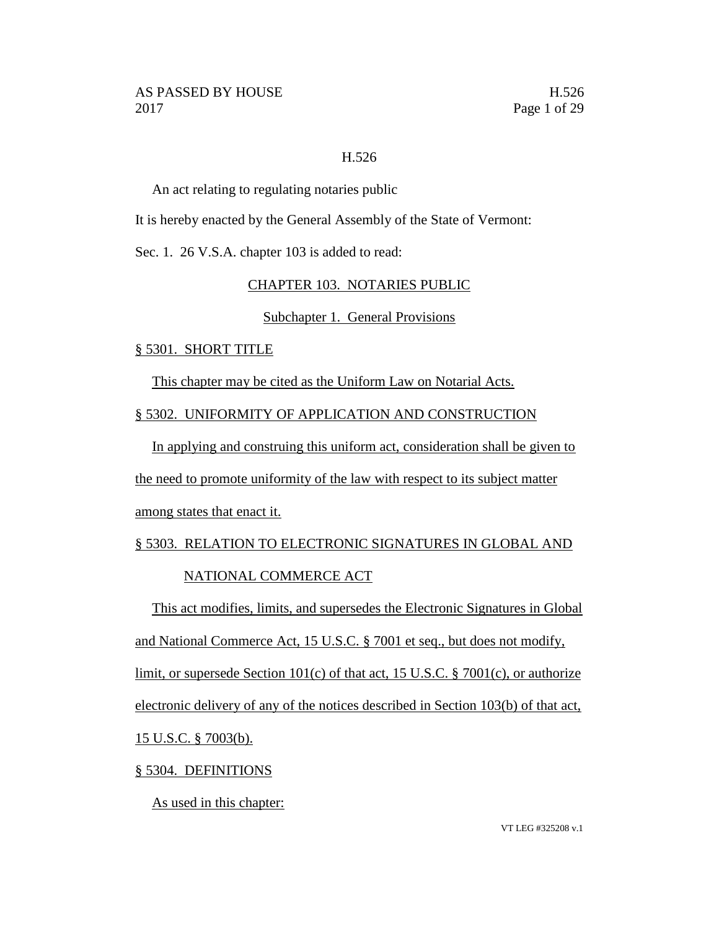## H.526

An act relating to regulating notaries public

It is hereby enacted by the General Assembly of the State of Vermont:

Sec. 1. 26 V.S.A. chapter 103 is added to read:

#### CHAPTER 103. NOTARIES PUBLIC

## Subchapter 1. General Provisions

### § 5301. SHORT TITLE

This chapter may be cited as the Uniform Law on Notarial Acts.

#### § 5302. UNIFORMITY OF APPLICATION AND CONSTRUCTION

In applying and construing this uniform act, consideration shall be given to

the need to promote uniformity of the law with respect to its subject matter

among states that enact it.

# § 5303. RELATION TO ELECTRONIC SIGNATURES IN GLOBAL AND

# NATIONAL COMMERCE ACT

This act modifies, limits, and supersedes the Electronic Signatures in Global and National Commerce Act, 15 U.S.C. § 7001 et seq., but does not modify, limit, or supersede Section 101(c) of that act, 15 U.S.C. § 7001(c), or authorize electronic delivery of any of the notices described in Section 103(b) of that act, 15 U.S.C. § 7003(b).

### § 5304. DEFINITIONS

As used in this chapter: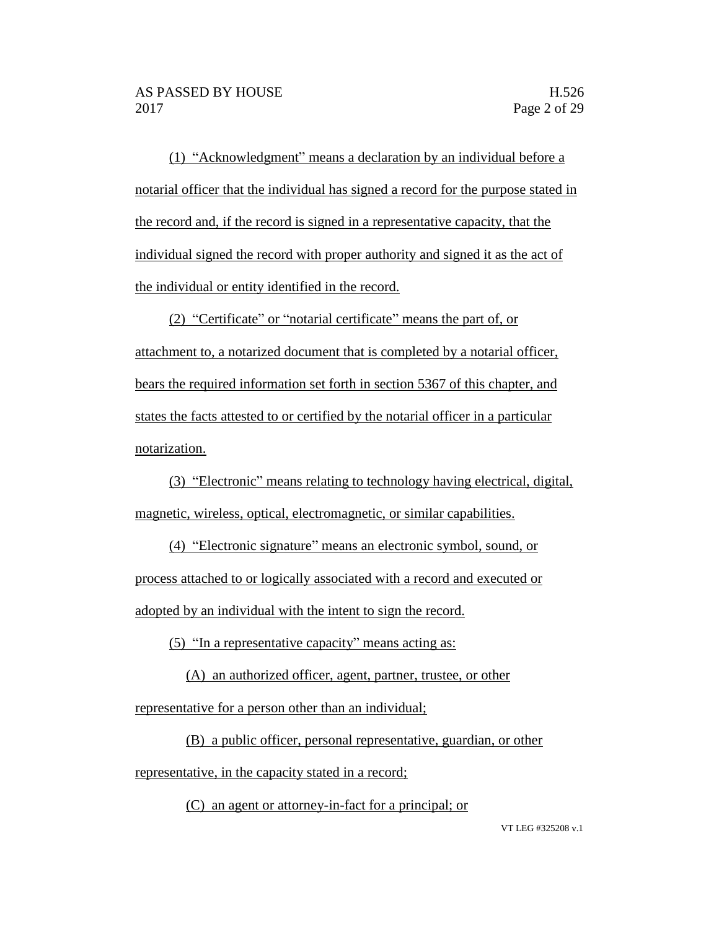(1) "Acknowledgment" means a declaration by an individual before a notarial officer that the individual has signed a record for the purpose stated in the record and, if the record is signed in a representative capacity, that the individual signed the record with proper authority and signed it as the act of the individual or entity identified in the record.

(2) "Certificate" or "notarial certificate" means the part of, or attachment to, a notarized document that is completed by a notarial officer, bears the required information set forth in section 5367 of this chapter, and states the facts attested to or certified by the notarial officer in a particular notarization.

(3) "Electronic" means relating to technology having electrical, digital, magnetic, wireless, optical, electromagnetic, or similar capabilities.

(4) "Electronic signature" means an electronic symbol, sound, or process attached to or logically associated with a record and executed or adopted by an individual with the intent to sign the record.

(5) "In a representative capacity" means acting as:

(A) an authorized officer, agent, partner, trustee, or other representative for a person other than an individual;

(B) a public officer, personal representative, guardian, or other representative, in the capacity stated in a record;

(C) an agent or attorney-in-fact for a principal; or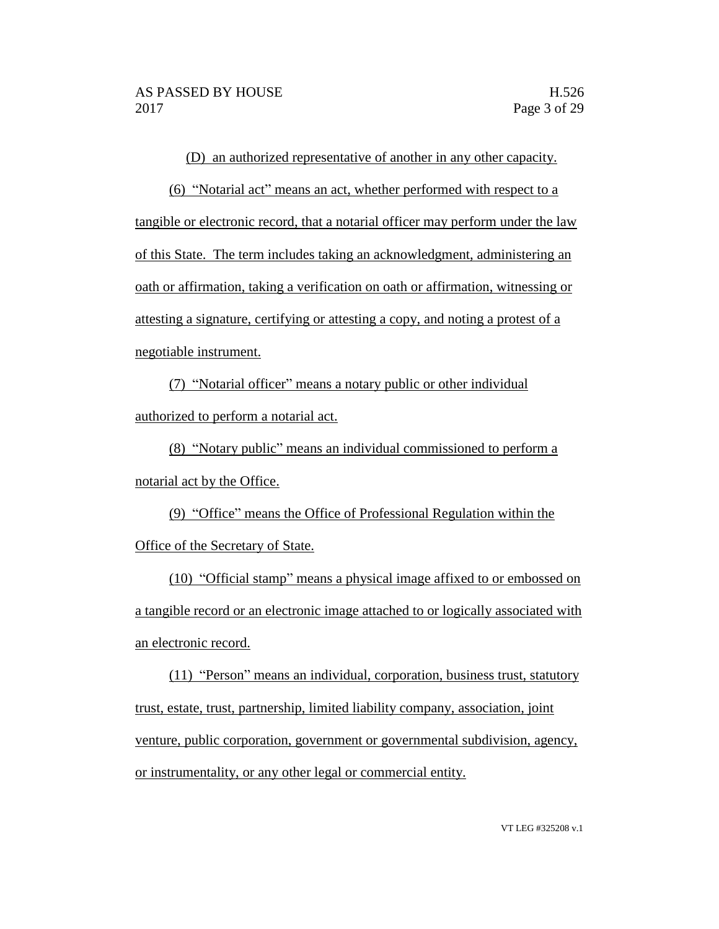(D) an authorized representative of another in any other capacity.

(6) "Notarial act" means an act, whether performed with respect to a tangible or electronic record, that a notarial officer may perform under the law of this State. The term includes taking an acknowledgment, administering an oath or affirmation, taking a verification on oath or affirmation, witnessing or attesting a signature, certifying or attesting a copy, and noting a protest of a negotiable instrument.

(7) "Notarial officer" means a notary public or other individual authorized to perform a notarial act.

(8) "Notary public" means an individual commissioned to perform a notarial act by the Office.

(9) "Office" means the Office of Professional Regulation within the Office of the Secretary of State.

(10) "Official stamp" means a physical image affixed to or embossed on a tangible record or an electronic image attached to or logically associated with an electronic record.

(11) "Person" means an individual, corporation, business trust, statutory trust, estate, trust, partnership, limited liability company, association, joint venture, public corporation, government or governmental subdivision, agency, or instrumentality, or any other legal or commercial entity.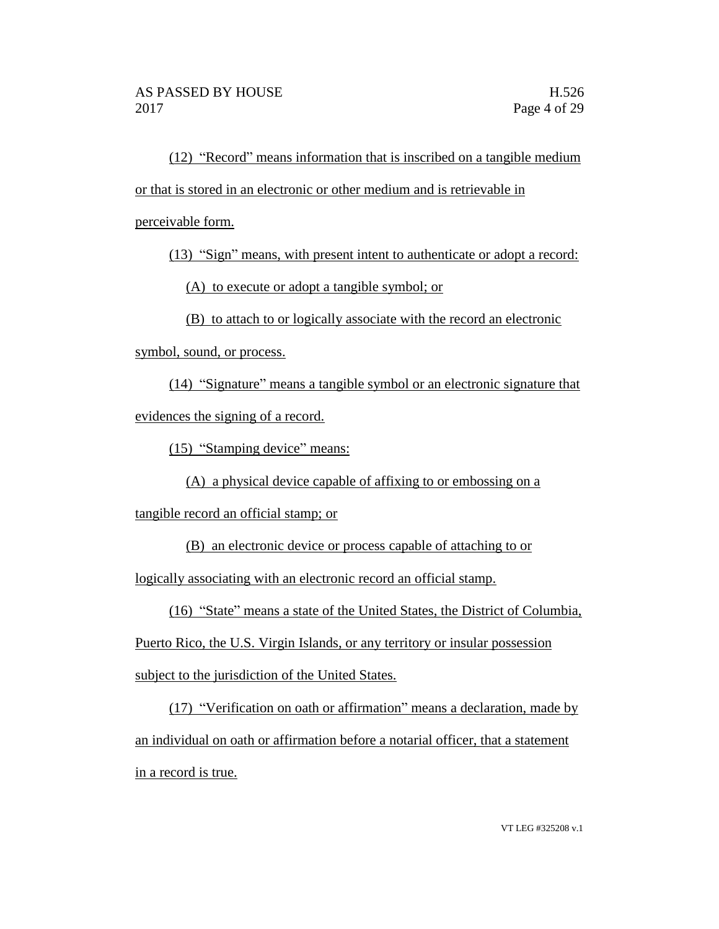(12) "Record" means information that is inscribed on a tangible medium

or that is stored in an electronic or other medium and is retrievable in

perceivable form.

(13) "Sign" means, with present intent to authenticate or adopt a record:

(A) to execute or adopt a tangible symbol; or

(B) to attach to or logically associate with the record an electronic

symbol, sound, or process.

(14) "Signature" means a tangible symbol or an electronic signature that evidences the signing of a record.

(15) "Stamping device" means:

(A) a physical device capable of affixing to or embossing on a

tangible record an official stamp; or

(B) an electronic device or process capable of attaching to or

logically associating with an electronic record an official stamp.

(16) "State" means a state of the United States, the District of Columbia,

Puerto Rico, the U.S. Virgin Islands, or any territory or insular possession subject to the jurisdiction of the United States.

(17) "Verification on oath or affirmation" means a declaration, made by an individual on oath or affirmation before a notarial officer, that a statement in a record is true.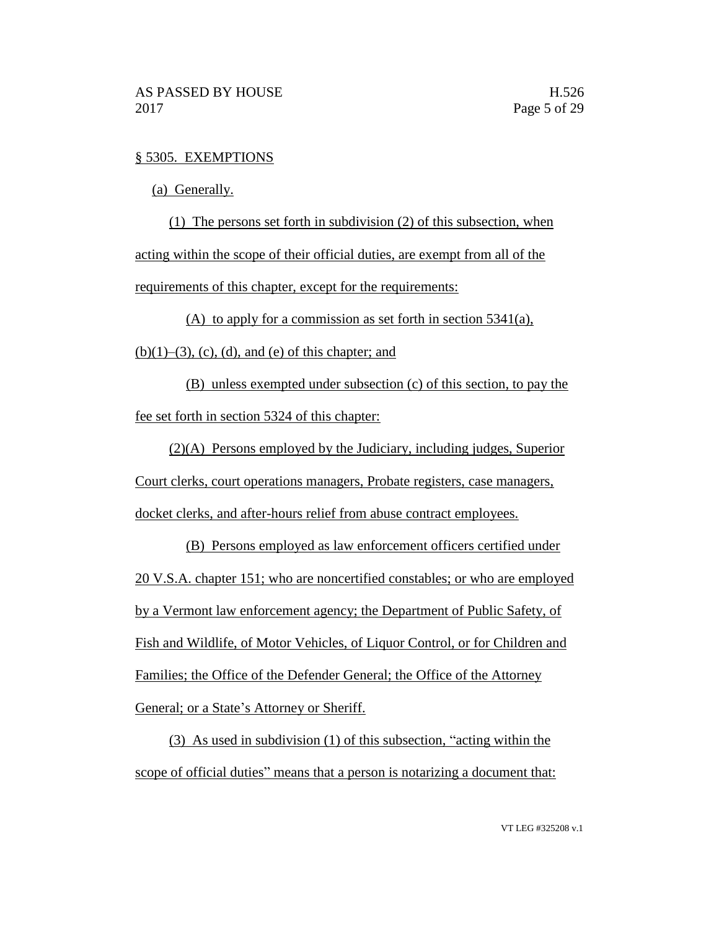# § 5305. EXEMPTIONS

(a) Generally.

(1) The persons set forth in subdivision (2) of this subsection, when acting within the scope of their official duties, are exempt from all of the requirements of this chapter, except for the requirements:

(A) to apply for a commission as set forth in section 5341(a),

 $(b)(1)$ – $(3)$ ,  $(c)$ ,  $(d)$ , and  $(e)$  of this chapter; and

(B) unless exempted under subsection (c) of this section, to pay the fee set forth in section 5324 of this chapter:

(2)(A) Persons employed by the Judiciary, including judges, Superior Court clerks, court operations managers, Probate registers, case managers, docket clerks, and after-hours relief from abuse contract employees.

(B) Persons employed as law enforcement officers certified under 20 V.S.A. chapter 151; who are noncertified constables; or who are employed by a Vermont law enforcement agency; the Department of Public Safety, of Fish and Wildlife, of Motor Vehicles, of Liquor Control, or for Children and Families; the Office of the Defender General; the Office of the Attorney General; or a State's Attorney or Sheriff.

(3) As used in subdivision (1) of this subsection, "acting within the scope of official duties" means that a person is notarizing a document that: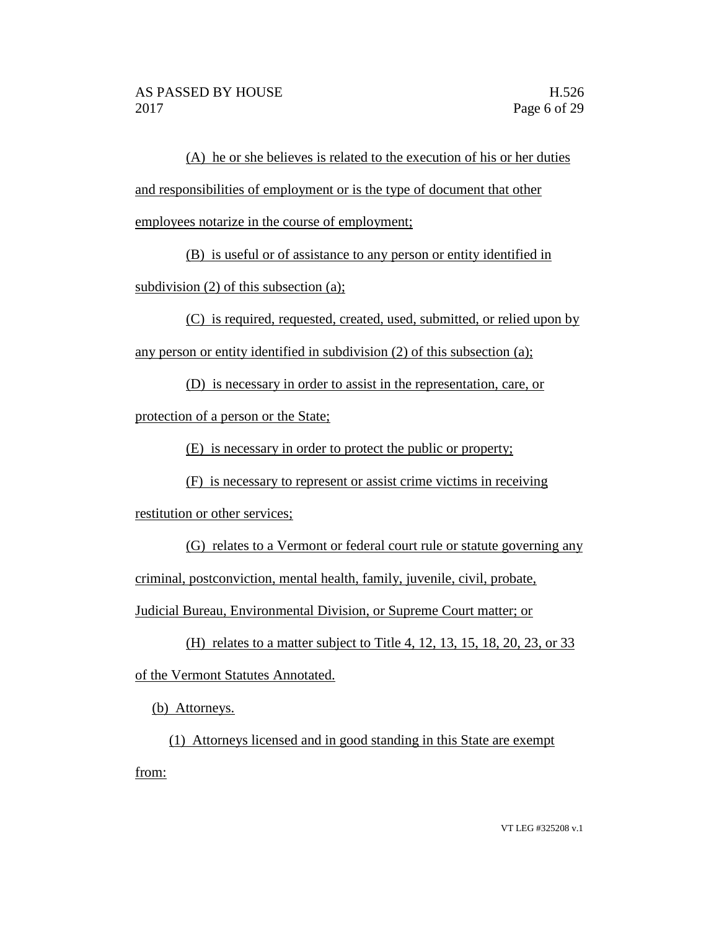(A) he or she believes is related to the execution of his or her duties and responsibilities of employment or is the type of document that other employees notarize in the course of employment;

(B) is useful or of assistance to any person or entity identified in subdivision (2) of this subsection (a);

(C) is required, requested, created, used, submitted, or relied upon by

any person or entity identified in subdivision (2) of this subsection (a);

(D) is necessary in order to assist in the representation, care, or

protection of a person or the State;

(E) is necessary in order to protect the public or property;

(F) is necessary to represent or assist crime victims in receiving

restitution or other services;

(G) relates to a Vermont or federal court rule or statute governing any

criminal, postconviction, mental health, family, juvenile, civil, probate,

Judicial Bureau, Environmental Division, or Supreme Court matter; or

(H) relates to a matter subject to Title 4, 12, 13, 15, 18, 20, 23, or 33

of the Vermont Statutes Annotated.

(b) Attorneys.

(1) Attorneys licensed and in good standing in this State are exempt from: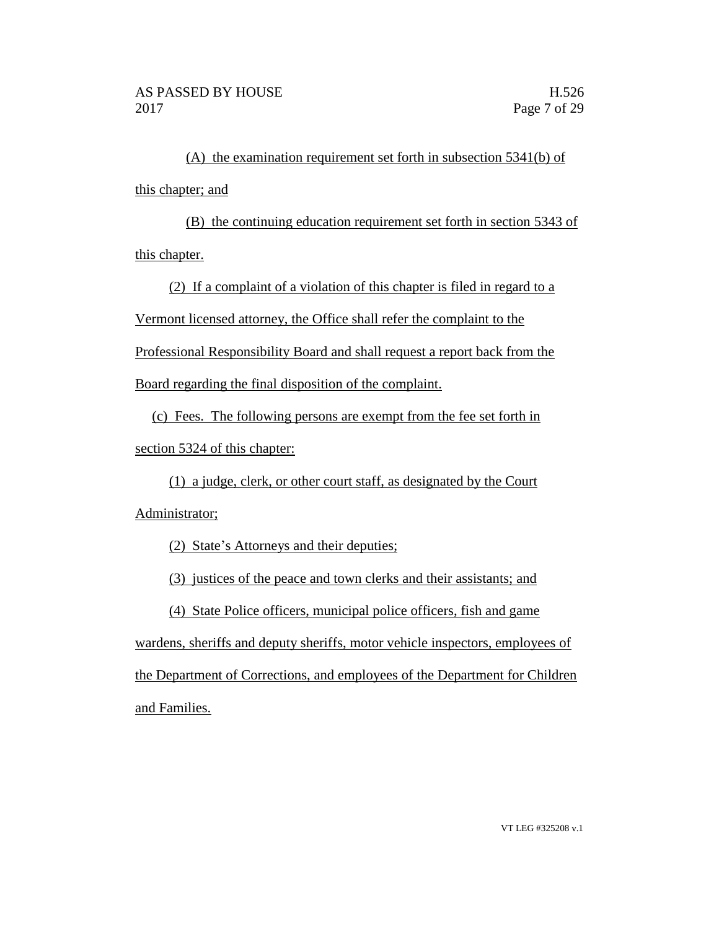(A) the examination requirement set forth in subsection 5341(b) of this chapter; and

(B) the continuing education requirement set forth in section 5343 of this chapter.

(2) If a complaint of a violation of this chapter is filed in regard to a

Vermont licensed attorney, the Office shall refer the complaint to the

Professional Responsibility Board and shall request a report back from the

Board regarding the final disposition of the complaint.

(c) Fees. The following persons are exempt from the fee set forth in section 5324 of this chapter:

(1) a judge, clerk, or other court staff, as designated by the Court Administrator;

(2) State's Attorneys and their deputies;

(3) justices of the peace and town clerks and their assistants; and

(4) State Police officers, municipal police officers, fish and game

wardens, sheriffs and deputy sheriffs, motor vehicle inspectors, employees of

the Department of Corrections, and employees of the Department for Children and Families.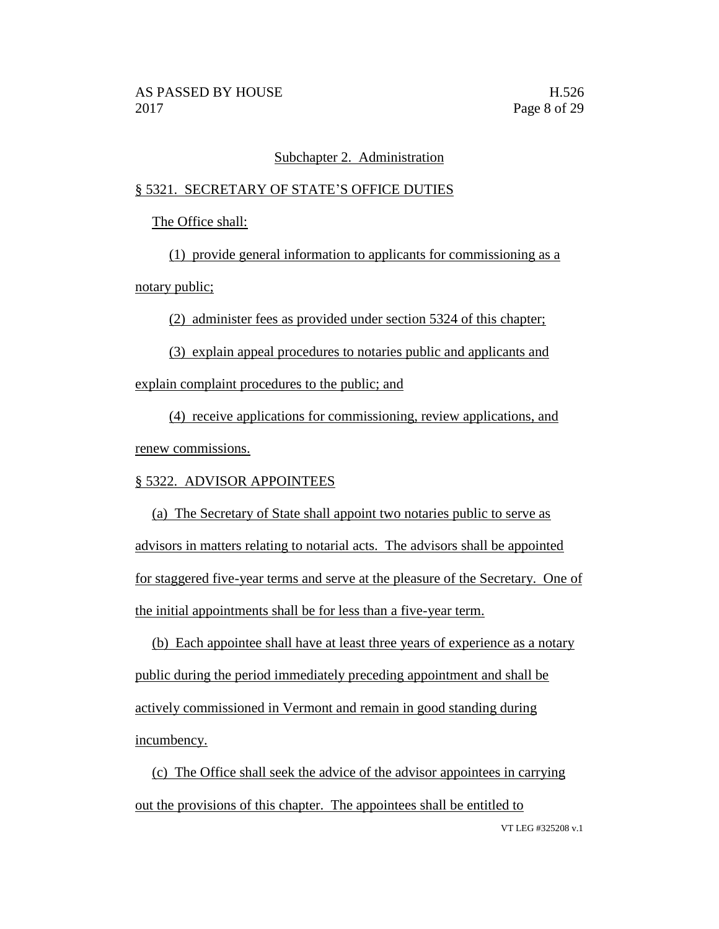# Subchapter 2. Administration

## § 5321. SECRETARY OF STATE'S OFFICE DUTIES

The Office shall:

(1) provide general information to applicants for commissioning as a notary public;

(2) administer fees as provided under section 5324 of this chapter;

(3) explain appeal procedures to notaries public and applicants and explain complaint procedures to the public; and

(4) receive applications for commissioning, review applications, and renew commissions.

# § 5322. ADVISOR APPOINTEES

(a) The Secretary of State shall appoint two notaries public to serve as advisors in matters relating to notarial acts. The advisors shall be appointed for staggered five-year terms and serve at the pleasure of the Secretary. One of the initial appointments shall be for less than a five-year term.

(b) Each appointee shall have at least three years of experience as a notary public during the period immediately preceding appointment and shall be actively commissioned in Vermont and remain in good standing during incumbency.

(c) The Office shall seek the advice of the advisor appointees in carrying out the provisions of this chapter. The appointees shall be entitled to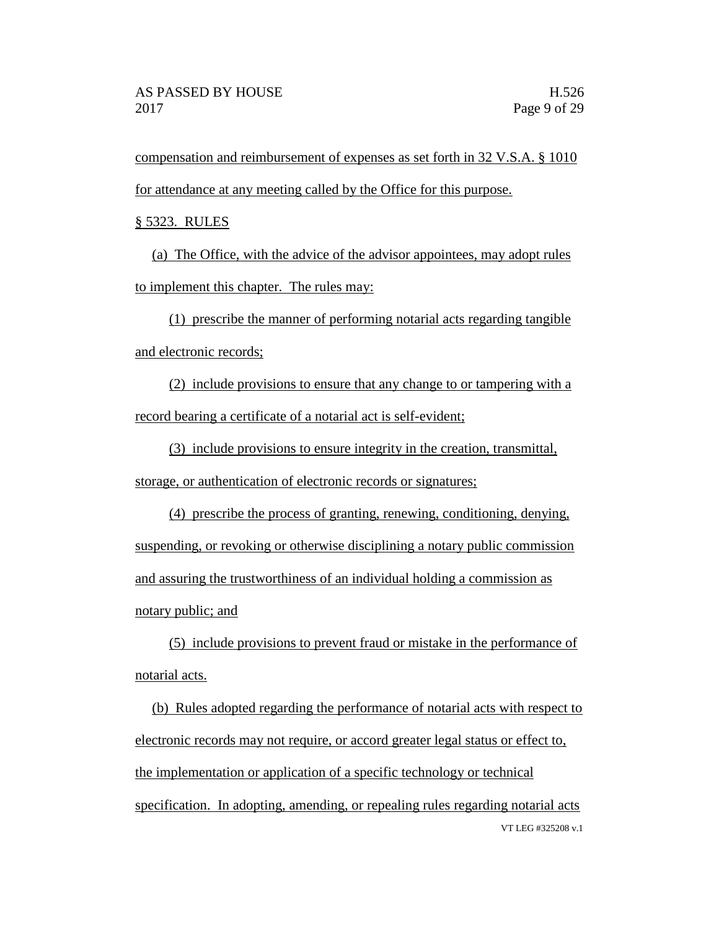compensation and reimbursement of expenses as set forth in 32 V.S.A. § 1010 for attendance at any meeting called by the Office for this purpose.

§ 5323. RULES

(a) The Office, with the advice of the advisor appointees, may adopt rules to implement this chapter. The rules may:

(1) prescribe the manner of performing notarial acts regarding tangible and electronic records;

(2) include provisions to ensure that any change to or tampering with a record bearing a certificate of a notarial act is self-evident;

(3) include provisions to ensure integrity in the creation, transmittal, storage, or authentication of electronic records or signatures;

(4) prescribe the process of granting, renewing, conditioning, denying, suspending, or revoking or otherwise disciplining a notary public commission and assuring the trustworthiness of an individual holding a commission as notary public; and

(5) include provisions to prevent fraud or mistake in the performance of notarial acts.

VT LEG #325208 v.1 (b) Rules adopted regarding the performance of notarial acts with respect to electronic records may not require, or accord greater legal status or effect to, the implementation or application of a specific technology or technical specification. In adopting, amending, or repealing rules regarding notarial acts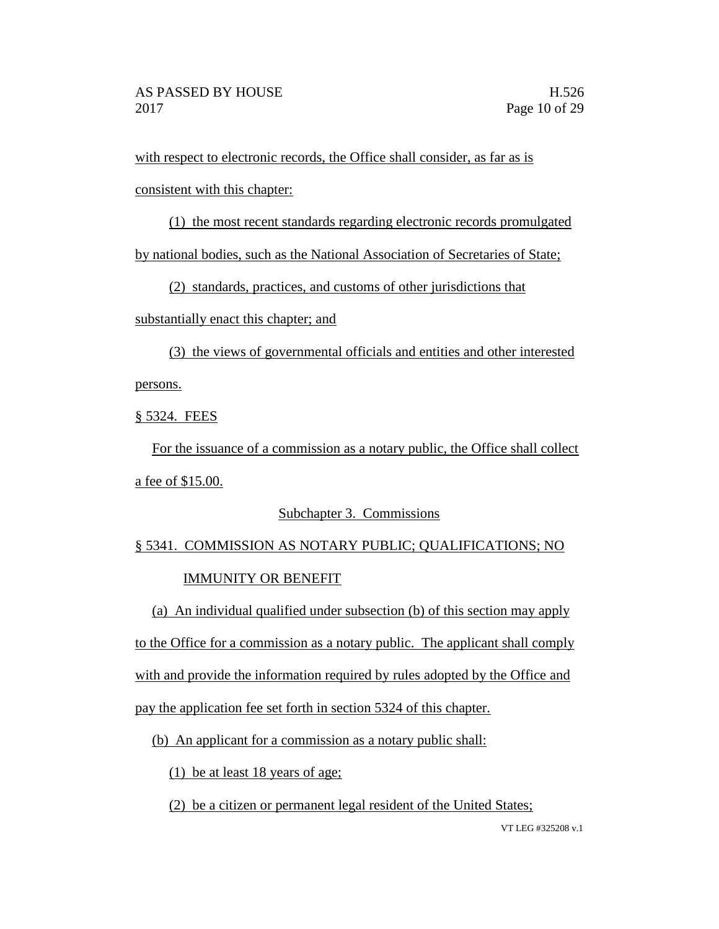with respect to electronic records, the Office shall consider, as far as is consistent with this chapter:

(1) the most recent standards regarding electronic records promulgated by national bodies, such as the National Association of Secretaries of State;

(2) standards, practices, and customs of other jurisdictions that

substantially enact this chapter; and

(3) the views of governmental officials and entities and other interested persons.

§ 5324. FEES

For the issuance of a commission as a notary public, the Office shall collect a fee of \$15.00.

# Subchapter 3. Commissions

# § 5341. COMMISSION AS NOTARY PUBLIC; QUALIFICATIONS; NO IMMUNITY OR BENEFIT

(a) An individual qualified under subsection (b) of this section may apply to the Office for a commission as a notary public. The applicant shall comply with and provide the information required by rules adopted by the Office and pay the application fee set forth in section 5324 of this chapter.

(b) An applicant for a commission as a notary public shall:

(1) be at least 18 years of age;

(2) be a citizen or permanent legal resident of the United States;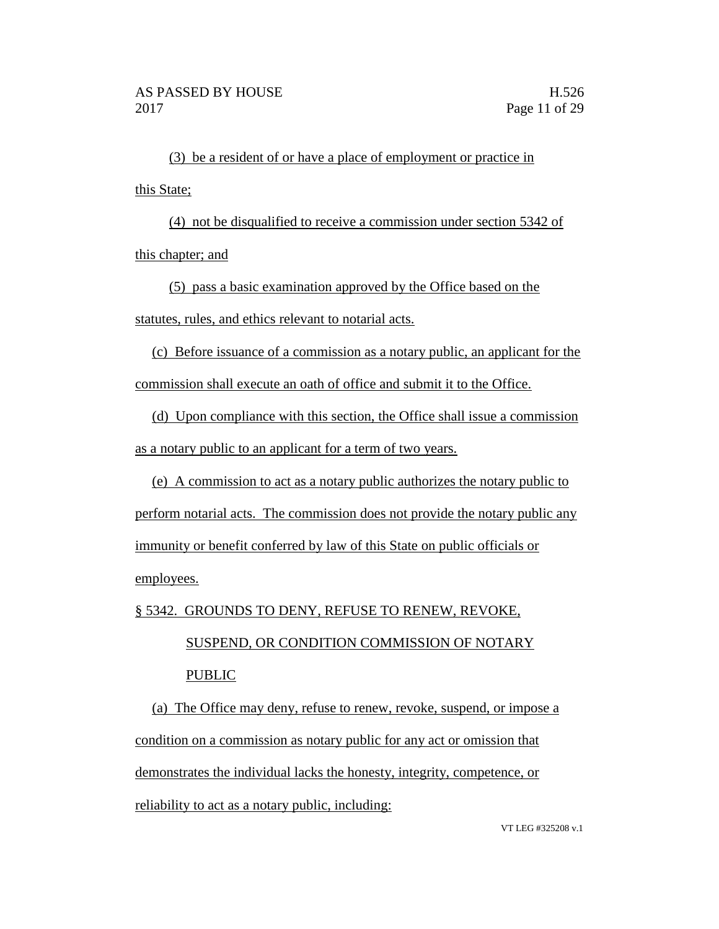(3) be a resident of or have a place of employment or practice in this State;

(4) not be disqualified to receive a commission under section 5342 of this chapter; and

(5) pass a basic examination approved by the Office based on the statutes, rules, and ethics relevant to notarial acts.

(c) Before issuance of a commission as a notary public, an applicant for the commission shall execute an oath of office and submit it to the Office.

(d) Upon compliance with this section, the Office shall issue a commission as a notary public to an applicant for a term of two years.

(e) A commission to act as a notary public authorizes the notary public to

perform notarial acts. The commission does not provide the notary public any immunity or benefit conferred by law of this State on public officials or employees.

§ 5342. GROUNDS TO DENY, REFUSE TO RENEW, REVOKE,

# SUSPEND, OR CONDITION COMMISSION OF NOTARY PUBLIC

(a) The Office may deny, refuse to renew, revoke, suspend, or impose a condition on a commission as notary public for any act or omission that demonstrates the individual lacks the honesty, integrity, competence, or reliability to act as a notary public, including: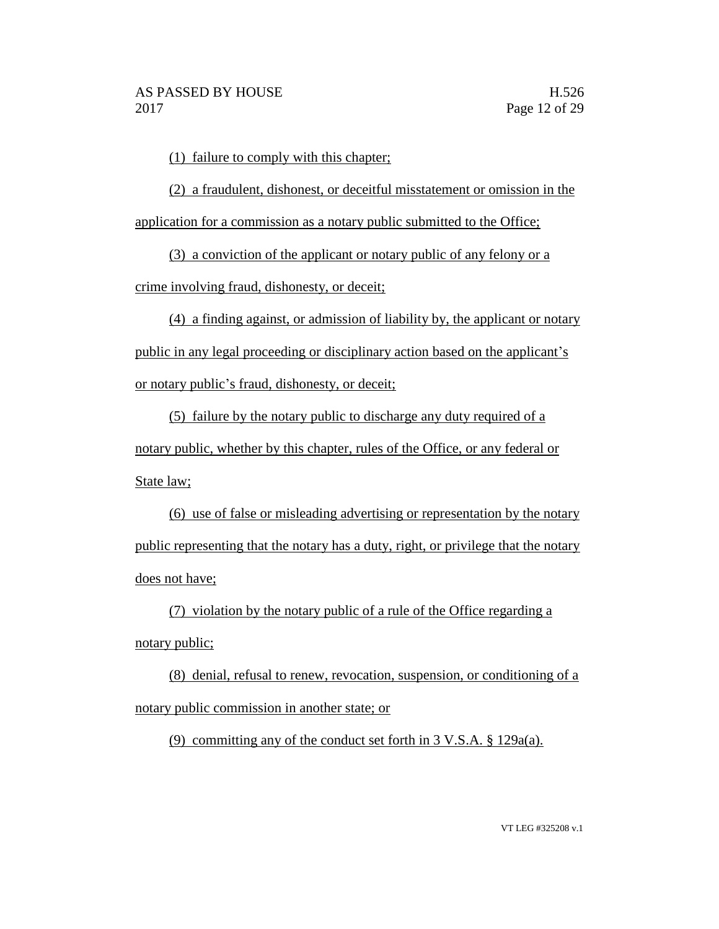(1) failure to comply with this chapter;

(2) a fraudulent, dishonest, or deceitful misstatement or omission in the application for a commission as a notary public submitted to the Office;

(3) a conviction of the applicant or notary public of any felony or a crime involving fraud, dishonesty, or deceit;

(4) a finding against, or admission of liability by, the applicant or notary public in any legal proceeding or disciplinary action based on the applicant's or notary public's fraud, dishonesty, or deceit;

(5) failure by the notary public to discharge any duty required of a notary public, whether by this chapter, rules of the Office, or any federal or State law;

(6) use of false or misleading advertising or representation by the notary public representing that the notary has a duty, right, or privilege that the notary does not have;

(7) violation by the notary public of a rule of the Office regarding a notary public;

(8) denial, refusal to renew, revocation, suspension, or conditioning of a notary public commission in another state; or

(9) committing any of the conduct set forth in 3 V.S.A. § 129a(a).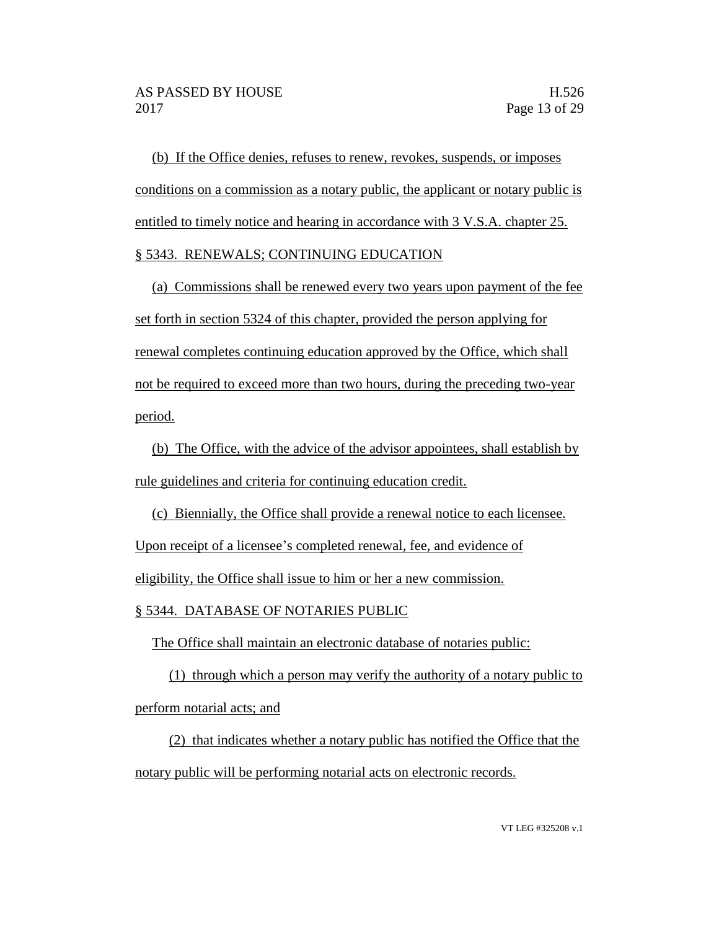(b) If the Office denies, refuses to renew, revokes, suspends, or imposes conditions on a commission as a notary public, the applicant or notary public is entitled to timely notice and hearing in accordance with 3 V.S.A. chapter 25. § 5343. RENEWALS; CONTINUING EDUCATION

(a) Commissions shall be renewed every two years upon payment of the fee set forth in section 5324 of this chapter, provided the person applying for renewal completes continuing education approved by the Office, which shall not be required to exceed more than two hours, during the preceding two-year

period.

(b) The Office, with the advice of the advisor appointees, shall establish by rule guidelines and criteria for continuing education credit.

(c) Biennially, the Office shall provide a renewal notice to each licensee.

Upon receipt of a licensee's completed renewal, fee, and evidence of

eligibility, the Office shall issue to him or her a new commission.

§ 5344. DATABASE OF NOTARIES PUBLIC

The Office shall maintain an electronic database of notaries public:

(1) through which a person may verify the authority of a notary public to perform notarial acts; and

(2) that indicates whether a notary public has notified the Office that the notary public will be performing notarial acts on electronic records.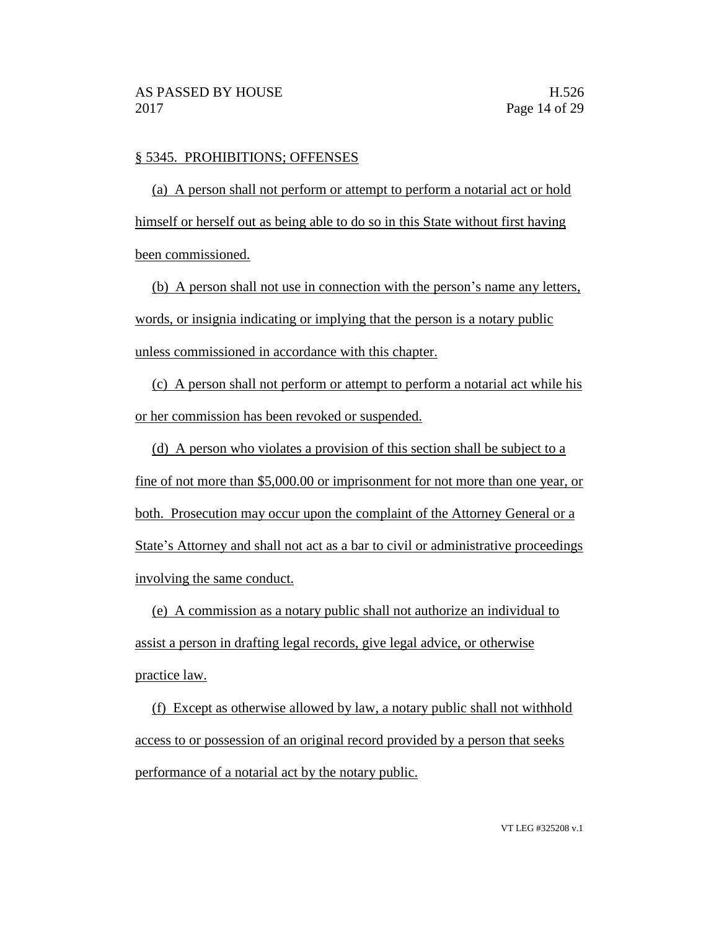#### § 5345. PROHIBITIONS; OFFENSES

(a) A person shall not perform or attempt to perform a notarial act or hold himself or herself out as being able to do so in this State without first having been commissioned.

(b) A person shall not use in connection with the person's name any letters, words, or insignia indicating or implying that the person is a notary public unless commissioned in accordance with this chapter.

(c) A person shall not perform or attempt to perform a notarial act while his or her commission has been revoked or suspended.

(d) A person who violates a provision of this section shall be subject to a fine of not more than \$5,000.00 or imprisonment for not more than one year, or both. Prosecution may occur upon the complaint of the Attorney General or a State's Attorney and shall not act as a bar to civil or administrative proceedings involving the same conduct.

(e) A commission as a notary public shall not authorize an individual to assist a person in drafting legal records, give legal advice, or otherwise practice law.

(f) Except as otherwise allowed by law, a notary public shall not withhold access to or possession of an original record provided by a person that seeks performance of a notarial act by the notary public.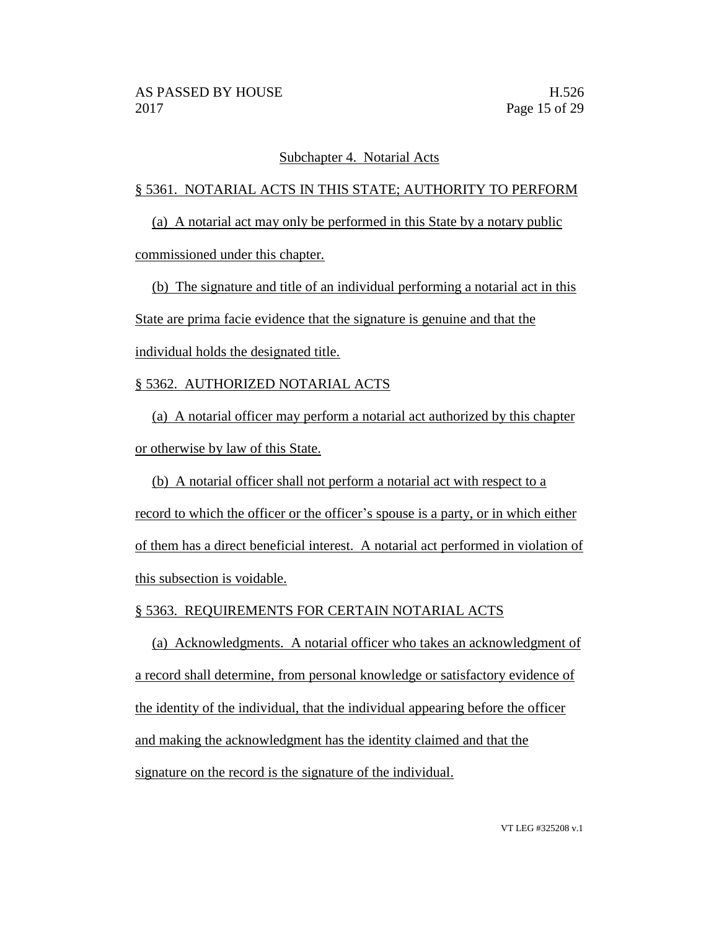### Subchapter 4. Notarial Acts

## § 5361. NOTARIAL ACTS IN THIS STATE; AUTHORITY TO PERFORM

(a) A notarial act may only be performed in this State by a notary public commissioned under this chapter.

(b) The signature and title of an individual performing a notarial act in this State are prima facie evidence that the signature is genuine and that the individual holds the designated title.

# § 5362. AUTHORIZED NOTARIAL ACTS

(a) A notarial officer may perform a notarial act authorized by this chapter or otherwise by law of this State.

(b) A notarial officer shall not perform a notarial act with respect to a record to which the officer or the officer's spouse is a party, or in which either of them has a direct beneficial interest. A notarial act performed in violation of this subsection is voidable.

# § 5363. REQUIREMENTS FOR CERTAIN NOTARIAL ACTS

(a) Acknowledgments. A notarial officer who takes an acknowledgment of a record shall determine, from personal knowledge or satisfactory evidence of the identity of the individual, that the individual appearing before the officer and making the acknowledgment has the identity claimed and that the signature on the record is the signature of the individual.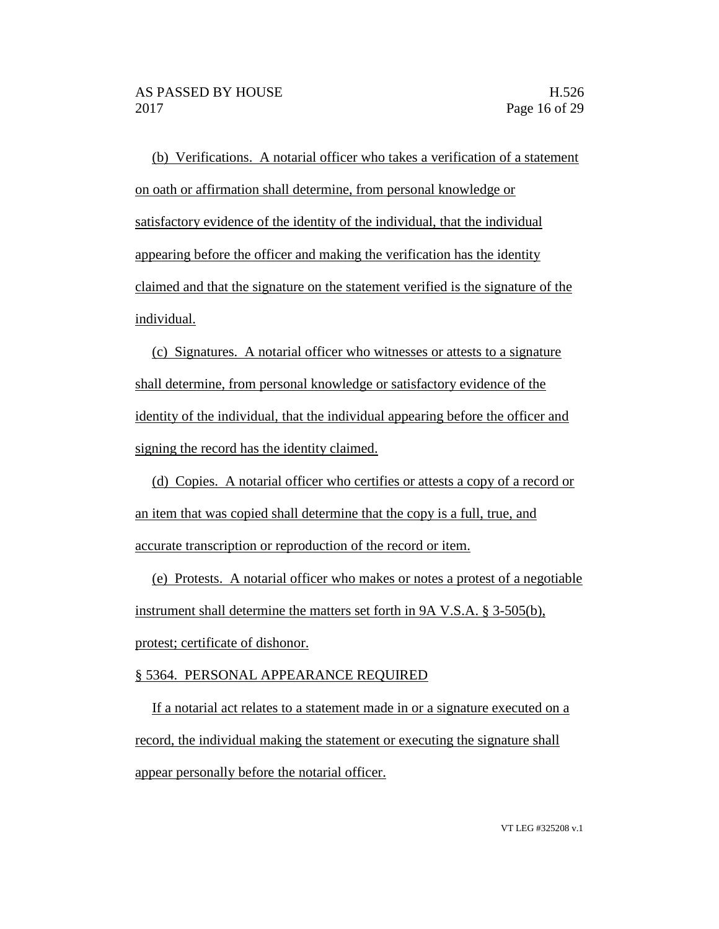(b) Verifications. A notarial officer who takes a verification of a statement on oath or affirmation shall determine, from personal knowledge or satisfactory evidence of the identity of the individual, that the individual appearing before the officer and making the verification has the identity claimed and that the signature on the statement verified is the signature of the individual.

(c) Signatures. A notarial officer who witnesses or attests to a signature shall determine, from personal knowledge or satisfactory evidence of the identity of the individual, that the individual appearing before the officer and signing the record has the identity claimed.

(d) Copies. A notarial officer who certifies or attests a copy of a record or an item that was copied shall determine that the copy is a full, true, and accurate transcription or reproduction of the record or item.

(e) Protests. A notarial officer who makes or notes a protest of a negotiable instrument shall determine the matters set forth in 9A V.S.A. § 3-505(b), protest; certificate of dishonor.

# § 5364. PERSONAL APPEARANCE REQUIRED

If a notarial act relates to a statement made in or a signature executed on a record, the individual making the statement or executing the signature shall appear personally before the notarial officer.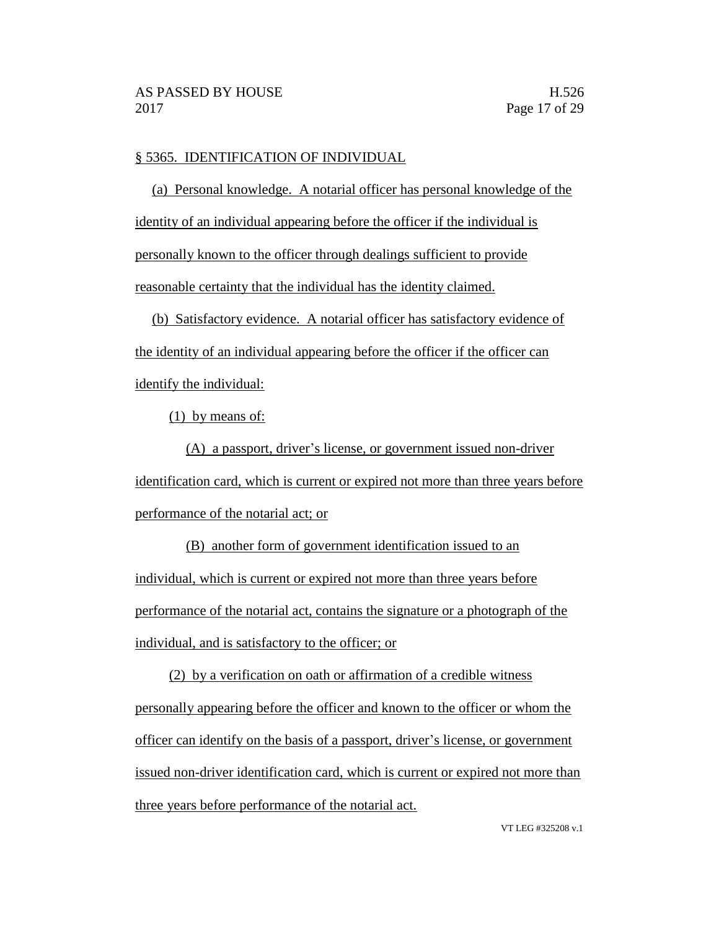#### § 5365. IDENTIFICATION OF INDIVIDUAL

(a) Personal knowledge. A notarial officer has personal knowledge of the identity of an individual appearing before the officer if the individual is personally known to the officer through dealings sufficient to provide reasonable certainty that the individual has the identity claimed.

(b) Satisfactory evidence. A notarial officer has satisfactory evidence of the identity of an individual appearing before the officer if the officer can identify the individual:

(1) by means of:

(A) a passport, driver's license, or government issued non-driver identification card, which is current or expired not more than three years before performance of the notarial act; or

(B) another form of government identification issued to an individual, which is current or expired not more than three years before performance of the notarial act, contains the signature or a photograph of the individual, and is satisfactory to the officer; or

(2) by a verification on oath or affirmation of a credible witness personally appearing before the officer and known to the officer or whom the officer can identify on the basis of a passport, driver's license, or government issued non-driver identification card, which is current or expired not more than three years before performance of the notarial act.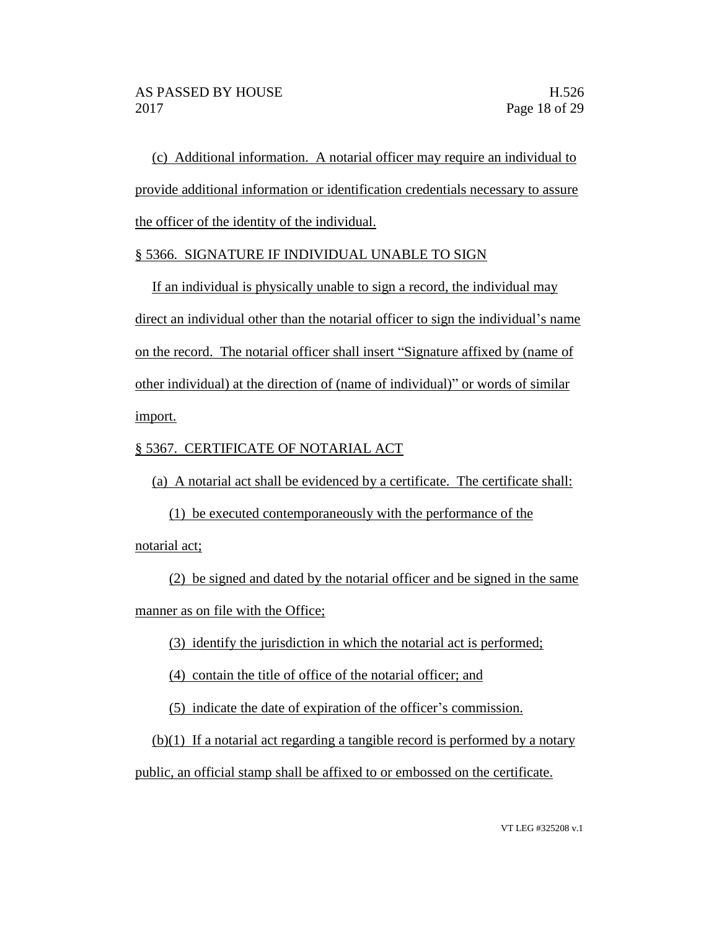(c) Additional information. A notarial officer may require an individual to provide additional information or identification credentials necessary to assure the officer of the identity of the individual.

# § 5366. SIGNATURE IF INDIVIDUAL UNABLE TO SIGN

If an individual is physically unable to sign a record, the individual may direct an individual other than the notarial officer to sign the individual's name on the record. The notarial officer shall insert "Signature affixed by (name of other individual) at the direction of (name of individual)" or words of similar import.

# § 5367. CERTIFICATE OF NOTARIAL ACT

(a) A notarial act shall be evidenced by a certificate. The certificate shall:

(1) be executed contemporaneously with the performance of the notarial act;

(2) be signed and dated by the notarial officer and be signed in the same manner as on file with the Office;

(3) identify the jurisdiction in which the notarial act is performed;

(4) contain the title of office of the notarial officer; and

(5) indicate the date of expiration of the officer's commission.

(b)(1) If a notarial act regarding a tangible record is performed by a notary public, an official stamp shall be affixed to or embossed on the certificate.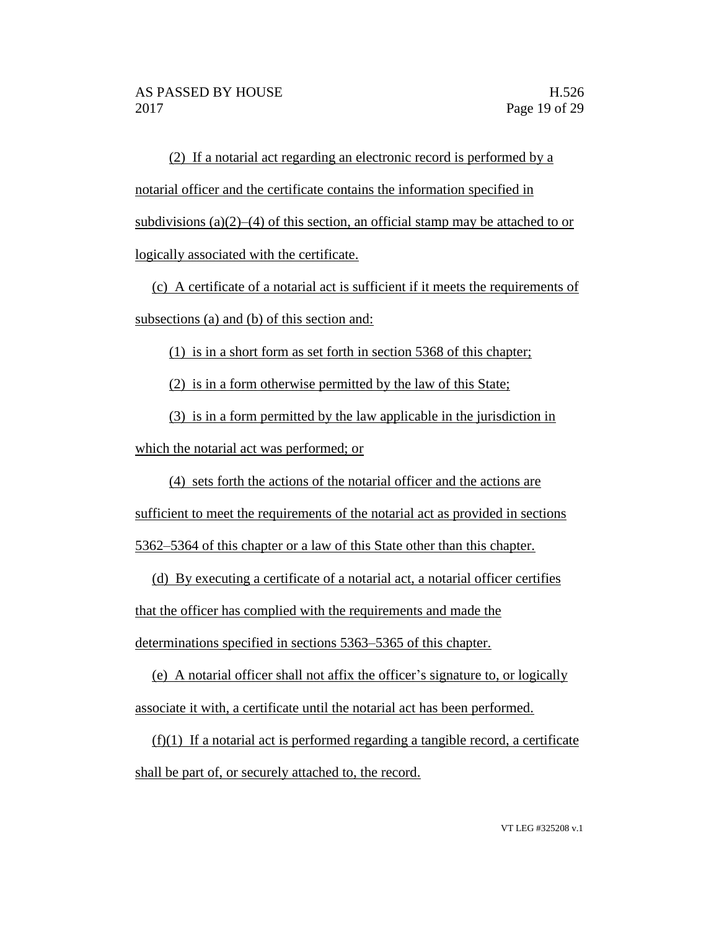(2) If a notarial act regarding an electronic record is performed by a notarial officer and the certificate contains the information specified in subdivisions (a)(2)–(4) of this section, an official stamp may be attached to or logically associated with the certificate.

(c) A certificate of a notarial act is sufficient if it meets the requirements of subsections (a) and (b) of this section and:

(1) is in a short form as set forth in section 5368 of this chapter;

(2) is in a form otherwise permitted by the law of this State;

(3) is in a form permitted by the law applicable in the jurisdiction in which the notarial act was performed; or

(4) sets forth the actions of the notarial officer and the actions are

sufficient to meet the requirements of the notarial act as provided in sections 5362–5364 of this chapter or a law of this State other than this chapter.

(d) By executing a certificate of a notarial act, a notarial officer certifies that the officer has complied with the requirements and made the determinations specified in sections 5363–5365 of this chapter.

(e) A notarial officer shall not affix the officer's signature to, or logically associate it with, a certificate until the notarial act has been performed.

(f)(1) If a notarial act is performed regarding a tangible record, a certificate shall be part of, or securely attached to, the record.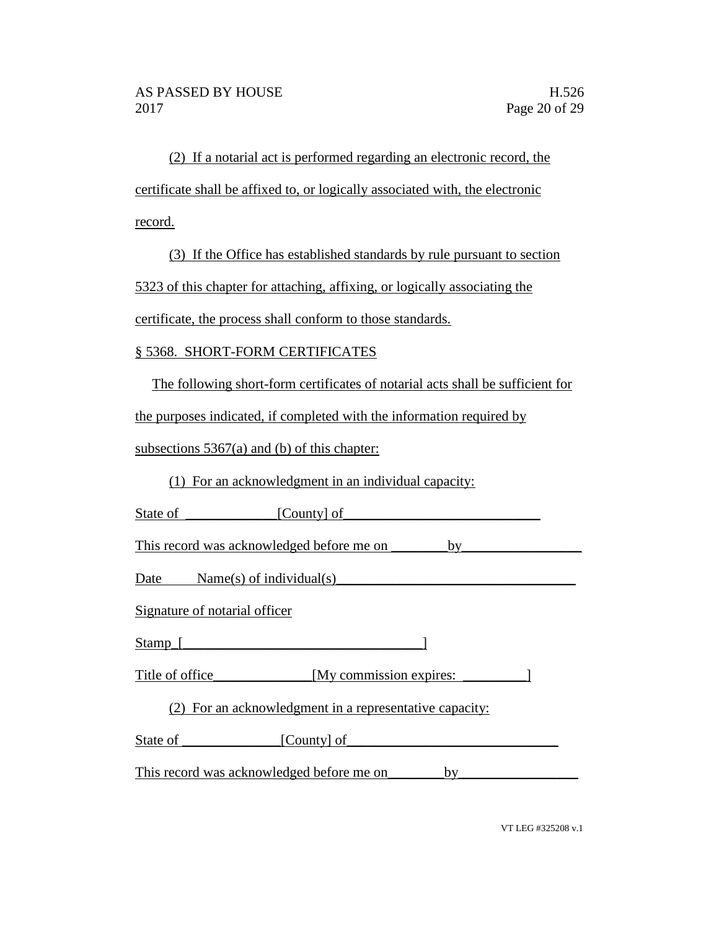(2) If a notarial act is performed regarding an electronic record, the certificate shall be affixed to, or logically associated with, the electronic record.

(3) If the Office has established standards by rule pursuant to section

5323 of this chapter for attaching, affixing, or logically associating the

certificate, the process shall conform to those standards.

# § 5368. SHORT-FORM CERTIFICATES

The following short-form certificates of notarial acts shall be sufficient for

the purposes indicated, if completed with the information required by

subsections 5367(a) and (b) of this chapter:

(1) For an acknowledgment in an individual capacity:

| State of | [County] of |
|----------|-------------|
|          |             |

This record was acknowledged before me on \_\_\_\_\_\_\_\_by\_\_\_\_\_\_\_\_\_\_\_\_\_\_\_\_\_

Date Name(s) of individual(s)

Signature of notarial officer

Stamp\_[\_\_\_\_\_\_\_\_\_\_\_\_\_\_\_\_\_\_\_\_\_\_\_\_\_\_\_\_\_\_\_\_\_\_]

Title of office [My commission expires:  $\qquad \qquad$  ]

(2) For an acknowledgment in a representative capacity:

State of \_\_\_\_\_\_\_\_\_\_\_\_\_\_[County] of\_\_\_\_\_\_\_\_\_\_\_\_\_\_\_\_\_\_\_\_\_\_\_\_\_\_\_\_\_\_

This record was acknowledged before me on by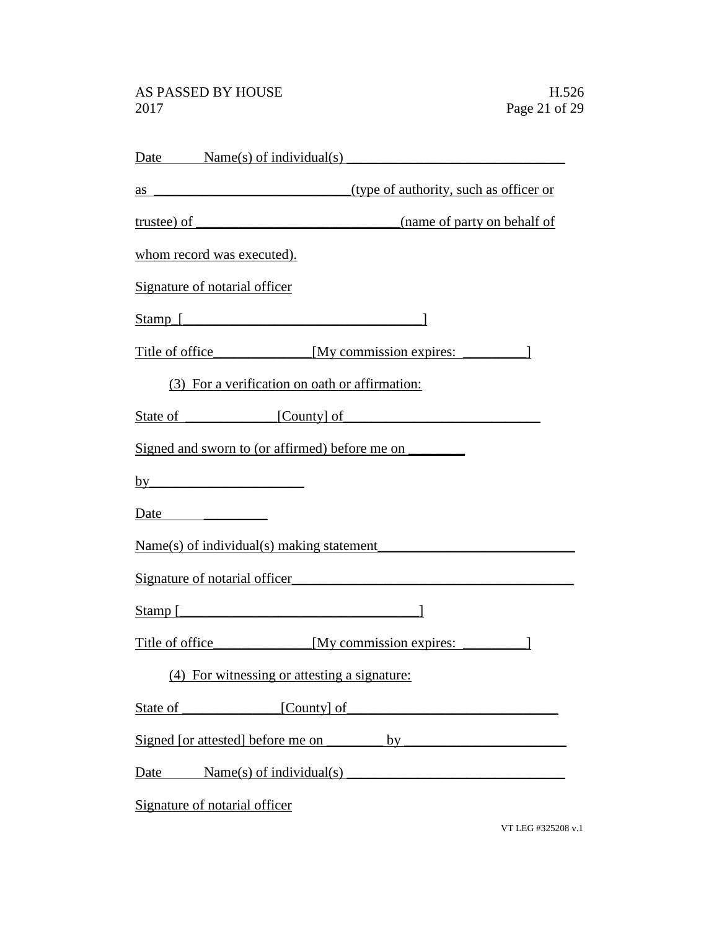|      | Date Name(s) of individual(s)                                                                                                                                                                              |
|------|------------------------------------------------------------------------------------------------------------------------------------------------------------------------------------------------------------|
|      |                                                                                                                                                                                                            |
|      |                                                                                                                                                                                                            |
|      | whom record was executed).                                                                                                                                                                                 |
|      | Signature of notarial officer                                                                                                                                                                              |
|      | $Stamp$ $\lceil$                                                                                                                                                                                           |
|      | Title of office My commission expires:                                                                                                                                                                     |
|      | (3) For a verification on oath or affirmation:                                                                                                                                                             |
|      | State of [County] of <b>County</b> County of <b>County</b> County of <b>County COUNTY COUNTY COUNTY COUNTY COUNTY COUNTY COUNTY COUNTY COUNTY COUNTY COUNTY COUNTY COUNTY COUNTY COUNTY COUNTY COUNTY </b> |
|      | Signed and sworn to (or affirmed) before me on                                                                                                                                                             |
|      | $\mathbf{b}$ y                                                                                                                                                                                             |
|      | Date Party                                                                                                                                                                                                 |
|      | Name(s) of individual(s) making statement                                                                                                                                                                  |
|      | Signature of notarial officer                                                                                                                                                                              |
|      |                                                                                                                                                                                                            |
|      | Title of office [My commission expires: 1]                                                                                                                                                                 |
|      | (4) For witnessing or attesting a signature:                                                                                                                                                               |
|      | State of [County] of <b>County</b> County <b>COUL</b>                                                                                                                                                      |
|      | Signed [or attested] before me on<br>by                                                                                                                                                                    |
| Date | Name(s) of individual(s)                                                                                                                                                                                   |
|      | Signature of notarial officer                                                                                                                                                                              |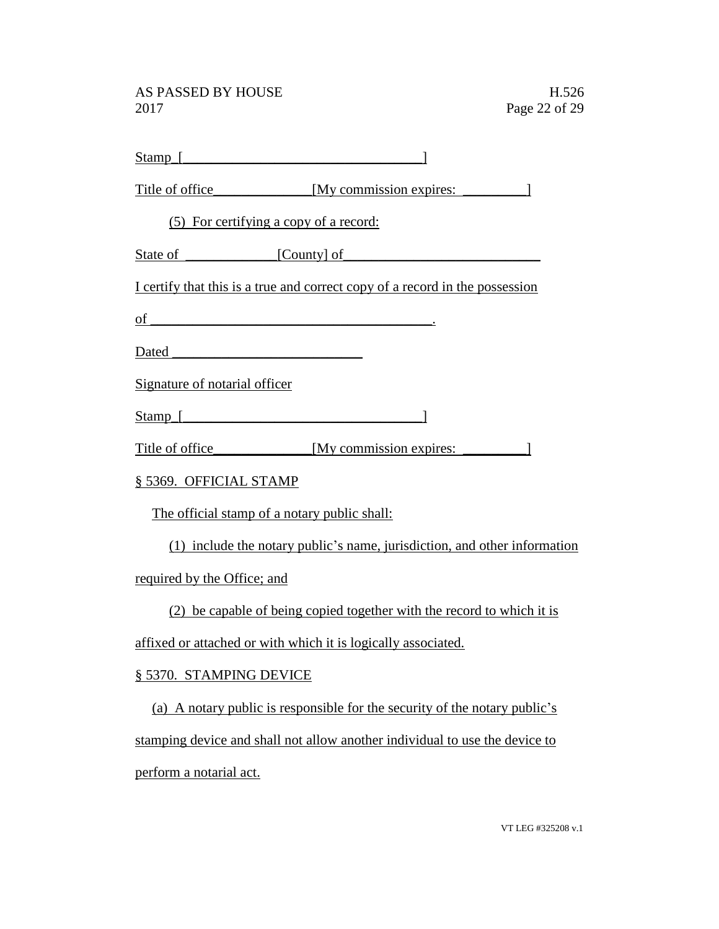|                               | $Stamp$ $\lceil$                                                                                                                                                                                                               |
|-------------------------------|--------------------------------------------------------------------------------------------------------------------------------------------------------------------------------------------------------------------------------|
|                               | Title of office My commission expires:                                                                                                                                                                                         |
|                               | (5) For certifying a copy of a record:                                                                                                                                                                                         |
|                               | State of County of County of                                                                                                                                                                                                   |
|                               | I certify that this is a true and correct copy of a record in the possession                                                                                                                                                   |
|                               | $\underline{\text{of}}$                                                                                                                                                                                                        |
|                               |                                                                                                                                                                                                                                |
| Signature of notarial officer |                                                                                                                                                                                                                                |
|                               | Stamp [ 1 and 1 and 2 and 2 and 2 and 2 and 2 and 2 and 2 and 2 and 2 and 2 and 2 and 2 and 2 and 2 and 2 and 2 and 2 and 2 and 2 and 2 and 2 and 2 and 2 and 2 and 2 and 2 and 2 and 2 and 2 and 2 and 2 and 2 and 2 and 2 an |
|                               | Title of office [My commission expires: 1]                                                                                                                                                                                     |
| § 5369. OFFICIAL STAMP        |                                                                                                                                                                                                                                |
|                               | The official stamp of a notary public shall:                                                                                                                                                                                   |
|                               | (1) include the notary public's name, jurisdiction, and other information                                                                                                                                                      |
| required by the Office; and   |                                                                                                                                                                                                                                |
|                               | (2) be capable of being copied together with the record to which it is                                                                                                                                                         |
|                               | affixed or attached or with which it is logically associated.                                                                                                                                                                  |
| § 5370. STAMPING DEVICE       |                                                                                                                                                                                                                                |
|                               | (a) A notary public is responsible for the security of the notary public's                                                                                                                                                     |
|                               | stamping device and shall not allow another individual to use the device to                                                                                                                                                    |
| perform a notarial act.       |                                                                                                                                                                                                                                |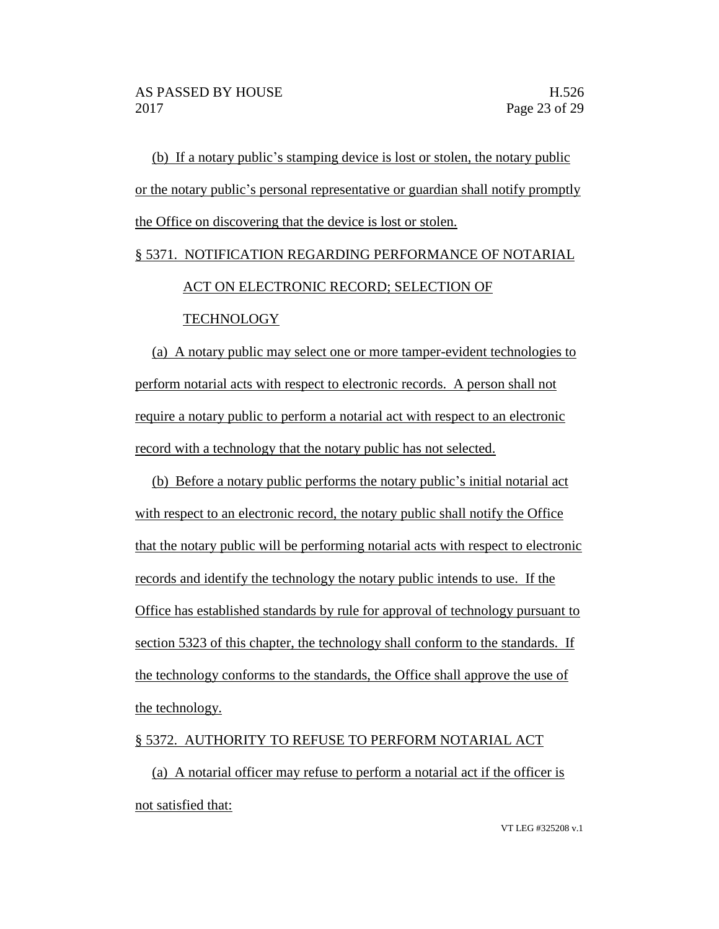(b) If a notary public's stamping device is lost or stolen, the notary public or the notary public's personal representative or guardian shall notify promptly the Office on discovering that the device is lost or stolen.

## § 5371. NOTIFICATION REGARDING PERFORMANCE OF NOTARIAL

#### ACT ON ELECTRONIC RECORD; SELECTION OF

#### TECHNOLOGY

(a) A notary public may select one or more tamper-evident technologies to perform notarial acts with respect to electronic records. A person shall not require a notary public to perform a notarial act with respect to an electronic record with a technology that the notary public has not selected.

(b) Before a notary public performs the notary public's initial notarial act with respect to an electronic record, the notary public shall notify the Office that the notary public will be performing notarial acts with respect to electronic records and identify the technology the notary public intends to use. If the Office has established standards by rule for approval of technology pursuant to section 5323 of this chapter, the technology shall conform to the standards. If the technology conforms to the standards, the Office shall approve the use of the technology.

#### § 5372. AUTHORITY TO REFUSE TO PERFORM NOTARIAL ACT

(a) A notarial officer may refuse to perform a notarial act if the officer is not satisfied that: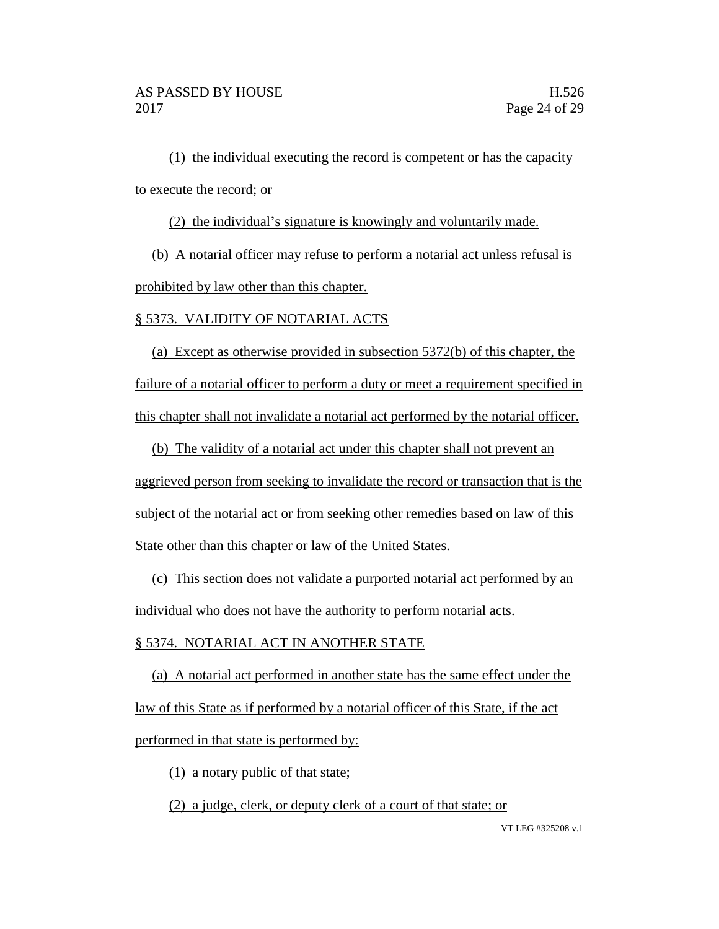(1) the individual executing the record is competent or has the capacity to execute the record; or

(2) the individual's signature is knowingly and voluntarily made.

(b) A notarial officer may refuse to perform a notarial act unless refusal is prohibited by law other than this chapter.

# § 5373. VALIDITY OF NOTARIAL ACTS

(a) Except as otherwise provided in subsection 5372(b) of this chapter, the failure of a notarial officer to perform a duty or meet a requirement specified in this chapter shall not invalidate a notarial act performed by the notarial officer.

(b) The validity of a notarial act under this chapter shall not prevent an aggrieved person from seeking to invalidate the record or transaction that is the subject of the notarial act or from seeking other remedies based on law of this State other than this chapter or law of the United States.

(c) This section does not validate a purported notarial act performed by an individual who does not have the authority to perform notarial acts.

# § 5374. NOTARIAL ACT IN ANOTHER STATE

(a) A notarial act performed in another state has the same effect under the law of this State as if performed by a notarial officer of this State, if the act performed in that state is performed by:

(1) a notary public of that state;

(2) a judge, clerk, or deputy clerk of a court of that state; or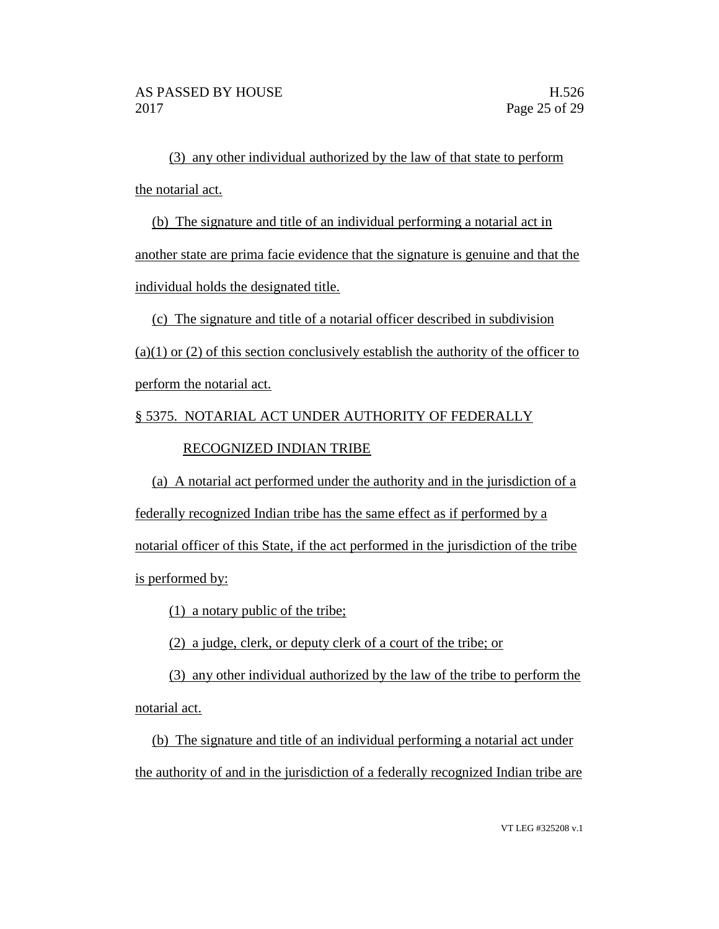(3) any other individual authorized by the law of that state to perform the notarial act.

(b) The signature and title of an individual performing a notarial act in another state are prima facie evidence that the signature is genuine and that the individual holds the designated title.

(c) The signature and title of a notarial officer described in subdivision  $(a)(1)$  or  $(2)$  of this section conclusively establish the authority of the officer to perform the notarial act.

# § 5375. NOTARIAL ACT UNDER AUTHORITY OF FEDERALLY

# RECOGNIZED INDIAN TRIBE

(a) A notarial act performed under the authority and in the jurisdiction of a federally recognized Indian tribe has the same effect as if performed by a notarial officer of this State, if the act performed in the jurisdiction of the tribe is performed by:

(1) a notary public of the tribe;

(2) a judge, clerk, or deputy clerk of a court of the tribe; or

(3) any other individual authorized by the law of the tribe to perform the notarial act.

(b) The signature and title of an individual performing a notarial act under the authority of and in the jurisdiction of a federally recognized Indian tribe are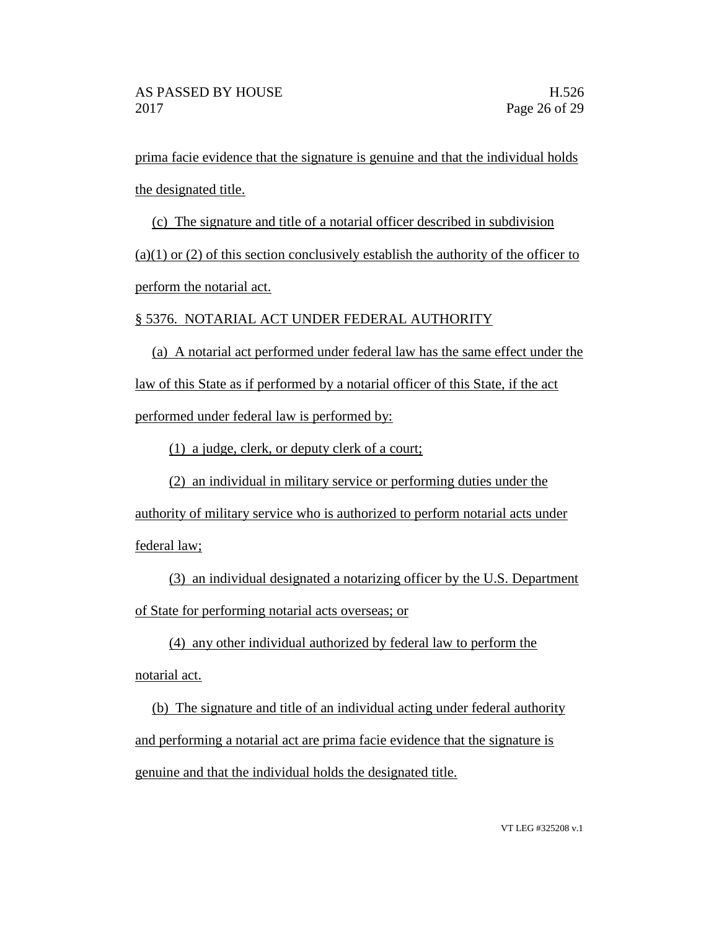prima facie evidence that the signature is genuine and that the individual holds the designated title.

(c) The signature and title of a notarial officer described in subdivision

(a)(1) or (2) of this section conclusively establish the authority of the officer to perform the notarial act.

# § 5376. NOTARIAL ACT UNDER FEDERAL AUTHORITY

(a) A notarial act performed under federal law has the same effect under the law of this State as if performed by a notarial officer of this State, if the act performed under federal law is performed by:

(1) a judge, clerk, or deputy clerk of a court;

(2) an individual in military service or performing duties under the

authority of military service who is authorized to perform notarial acts under federal law;

(3) an individual designated a notarizing officer by the U.S. Department of State for performing notarial acts overseas; or

(4) any other individual authorized by federal law to perform the notarial act.

(b) The signature and title of an individual acting under federal authority and performing a notarial act are prima facie evidence that the signature is genuine and that the individual holds the designated title.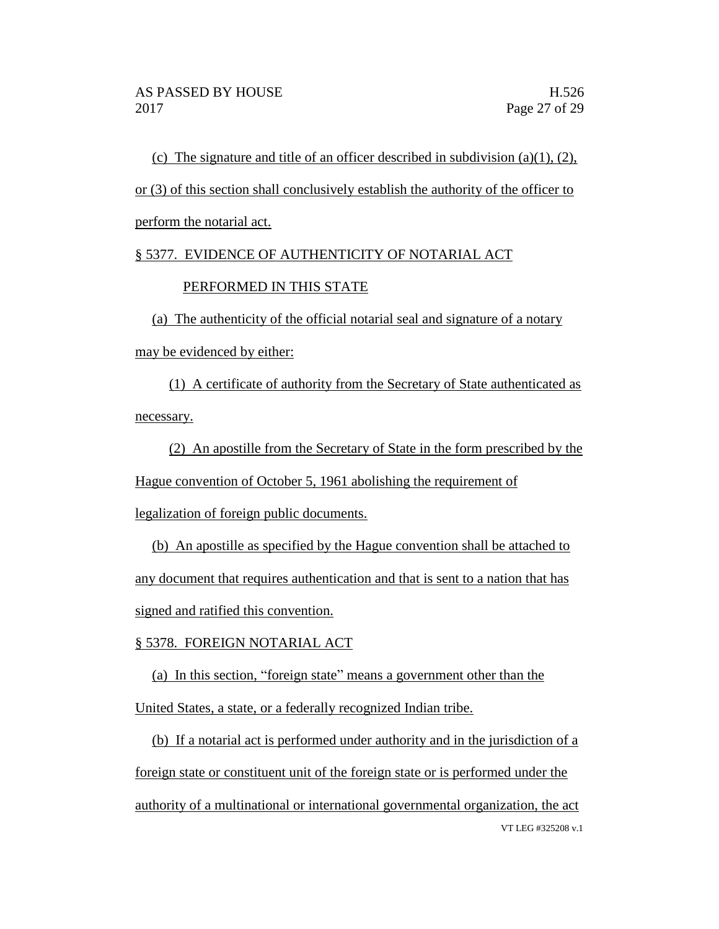(c) The signature and title of an officer described in subdivision  $(a)(1)$ ,  $(2)$ , or (3) of this section shall conclusively establish the authority of the officer to perform the notarial act.

# § 5377. EVIDENCE OF AUTHENTICITY OF NOTARIAL ACT

## PERFORMED IN THIS STATE

(a) The authenticity of the official notarial seal and signature of a notary may be evidenced by either:

(1) A certificate of authority from the Secretary of State authenticated as necessary.

(2) An apostille from the Secretary of State in the form prescribed by the Hague convention of October 5, 1961 abolishing the requirement of legalization of foreign public documents.

(b) An apostille as specified by the Hague convention shall be attached to any document that requires authentication and that is sent to a nation that has signed and ratified this convention.

## § 5378. FOREIGN NOTARIAL ACT

(a) In this section, "foreign state" means a government other than the United States, a state, or a federally recognized Indian tribe.

VT LEG #325208 v.1 (b) If a notarial act is performed under authority and in the jurisdiction of a foreign state or constituent unit of the foreign state or is performed under the authority of a multinational or international governmental organization, the act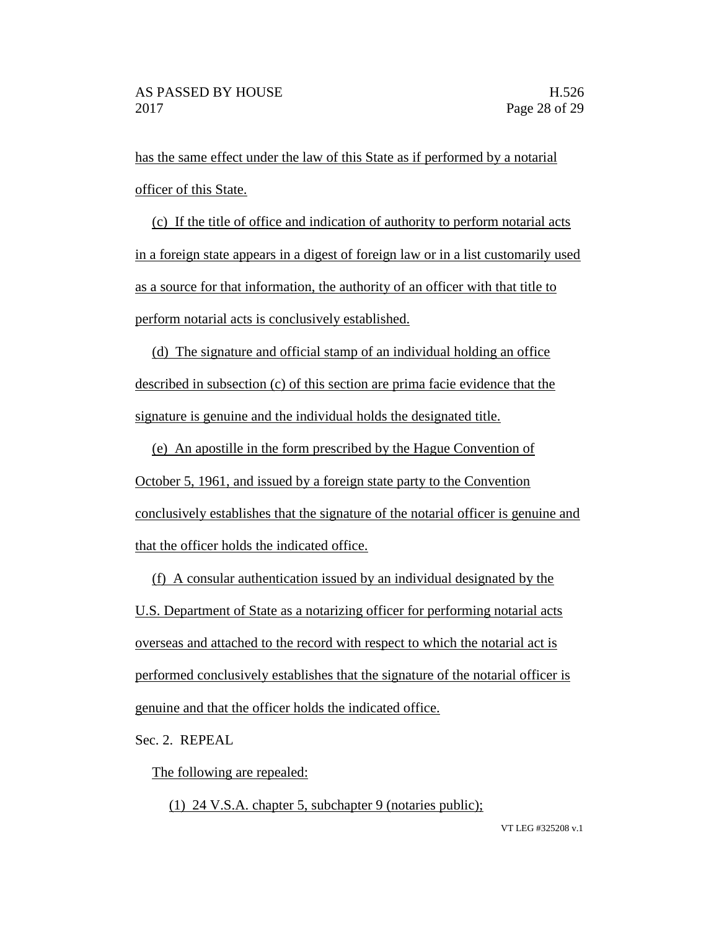has the same effect under the law of this State as if performed by a notarial officer of this State.

(c) If the title of office and indication of authority to perform notarial acts in a foreign state appears in a digest of foreign law or in a list customarily used as a source for that information, the authority of an officer with that title to perform notarial acts is conclusively established.

(d) The signature and official stamp of an individual holding an office described in subsection (c) of this section are prima facie evidence that the signature is genuine and the individual holds the designated title.

(e) An apostille in the form prescribed by the Hague Convention of October 5, 1961, and issued by a foreign state party to the Convention conclusively establishes that the signature of the notarial officer is genuine and that the officer holds the indicated office.

(f) A consular authentication issued by an individual designated by the U.S. Department of State as a notarizing officer for performing notarial acts overseas and attached to the record with respect to which the notarial act is performed conclusively establishes that the signature of the notarial officer is genuine and that the officer holds the indicated office.

Sec. 2. REPEAL

The following are repealed:

(1) 24 V.S.A. chapter 5, subchapter 9 (notaries public);